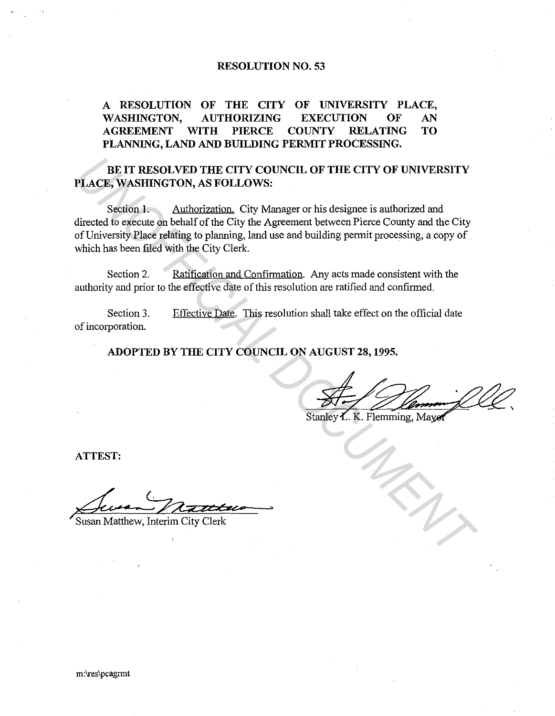## **RESOLUTION NO. 53**

# **A RESOLUTION OF THE CITY OF UNIVERSITY PLACE, WASHINGTON, AUTHORIZING EXECUTION OF AN AGREEMENT WITH PIERCE COUNTY RELATING TO PLANNING, LAND AND BUILDING PERMIT PROCESSING.**

**BE IT RESOLVED THE CITY COUNCIL OF THE CITY OF UNIVERSITY PLACE, WASHINGTON, AS FOLLOWS:** 

Section 1. Authorization. City Manager or his designee is authorized and directed to execute on behalf of the City the Agreement between Pierce County and the City of University Place relating to planning, land use and building permit processing, a copy of which has been filed with the City Clerk. **EXAMPLE CITY COUNCIL OF THE CITY OF UNIVERSITY**<br> **ULACE, WASHINGTON, AS FOLLOWS:**<br>
Section 1. Authorization. City Manager or his designee is authorized and<br>
directed to execute on behalf of the City the Agreement between

Section 2. Ratification and Confirmation. Any acts made consistent with the authority and prior to the effective date of this resolution are ratified and confirmed.

Section 3. of incorporation. Effective Date. This resolution shall take effect on the official date

**ADOPTED BY THE CITY COUNCIL ON AUGUST 28, 1995.** 

**ATTEST:** 

>

**Susan Matthew, Interim City Clerk** 

m:\res\pcagrmt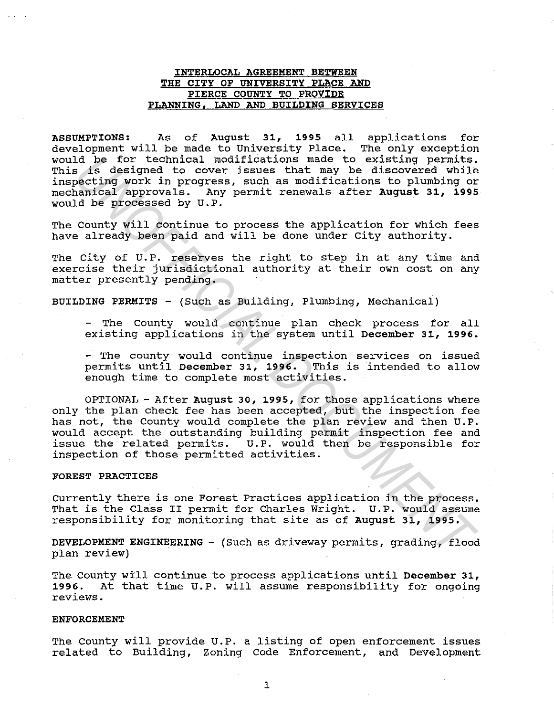### INTERLOCAL AGREEMENT BETWEEN THE CITY OF UNIVERSITY PLACE AND PIERCE COUNTY TO PROVIDE PLANNING, LAND AND BUILDING SERVICES

ASSUMPTIONS: As of August 31, 1995 all applications for development will be made to University Place. The only exception would be for technical modifications made to existing permits. This is designed to cover issues that may be discovered while inspecting work in progress, such as modifications to plumbing or<br>mechanical approvals. Any permit renewals after August 31, 1995 Any permit renewals after August 31, 1995 would be processed by U.P.

The County will continue to process the application for which fees have already been paid and will be done under City authority.

The City of U.P. reserves the right to step in at any time and exercise their jurisdictional authority at their own cost on any matter presently pending.

BUILDING PERMITS - (Such as Building, Plumbing, Mechanical)

- The County would continue plan check process for all existing applications in the system until December 31, 1996.

- The county would continue inspection services on issued<br>permits until December 31, 1996. This is intended to allow permits until December 31, 1996. enough time to complete most activities.

OPTIONAL - After August 30, 1995, for those applications where only the plan check fee has been accepted, but the inspection fee has not, the County would complete the plan review and then U.P. would accept the outstanding building permit inspection fee and issue the related permits. U.P. would then be responsible for inspection of those permitted activities. Id be for technical modifications made to existing permits.<br>Is is designed to cover issues that may be discovered while<br>poeting work in progress, such as modifications to plumbing or<br>poeting work in progress, such as modif

#### FOREST PRACTICES

currently there is one Forest Practices application in the process. That is the Class II permit for Charles Wright. U.P. would assume responsibility for monitoring that site as of August 31, 1995.

DEVELOPMENT ENGINEERING - (Such as driveway permits, grading, flood plan review)

The County will continue to process applications until December 31, 1996. At that time U.P. will assume responsibility for ongoing reviews.

#### ENFORCEMENT

The County will provide U.P. a listing of open enforcement issues related to Building, Zoning Code Enforcement, and Development